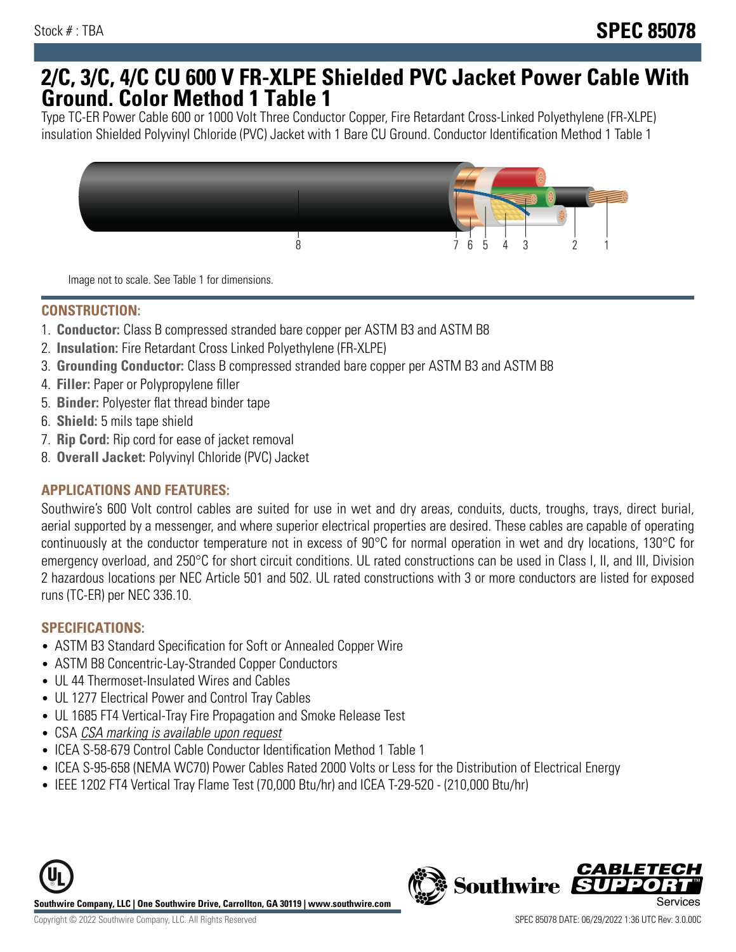## **2/C, 3/C, 4/C CU 600 V FR-XLPE Shielded PVC Jacket Power Cable With Ground. Color Method 1 Table 1**

Type TC-ER Power Cable 600 or 1000 Volt Three Conductor Copper, Fire Retardant Cross-Linked Polyethylene (FR-XLPE) insulation Shielded Polyvinyl Chloride (PVC) Jacket with 1 Bare CU Ground. Conductor Identification Method 1 Table 1



Image not to scale. See Table 1 for dimensions.

#### **CONSTRUCTION:**

- 1. **Conductor:** Class B compressed stranded bare copper per ASTM B3 and ASTM B8
- 2. **Insulation:** Fire Retardant Cross Linked Polyethylene (FR-XLPE)
- 3. **Grounding Conductor:** Class B compressed stranded bare copper per ASTM B3 and ASTM B8
- 4. **Filler:** Paper or Polypropylene filler
- 5. **Binder:** Polyester flat thread binder tape
- 6. **Shield:** 5 mils tape shield
- 7. **Rip Cord:** Rip cord for ease of jacket removal
- 8. **Overall Jacket:** Polyvinyl Chloride (PVC) Jacket

### **APPLICATIONS AND FEATURES:**

Southwire's 600 Volt control cables are suited for use in wet and dry areas, conduits, ducts, troughs, trays, direct burial, aerial supported by a messenger, and where superior electrical properties are desired. These cables are capable of operating continuously at the conductor temperature not in excess of 90°C for normal operation in wet and dry locations, 130°C for emergency overload, and 250°C for short circuit conditions. UL rated constructions can be used in Class I, II, and III, Division 2 hazardous locations per NEC Article 501 and 502. UL rated constructions with 3 or more conductors are listed for exposed runs (TC-ER) per NEC 336.10.

#### **SPECIFICATIONS:**

- ASTM B3 Standard Specification for Soft or Annealed Copper Wire
- ASTM B8 Concentric-Lay-Stranded Copper Conductors
- UL 44 Thermoset-Insulated Wires and Cables
- UL 1277 Electrical Power and Control Tray Cables
- UL 1685 FT4 Vertical-Tray Fire Propagation and Smoke Release Test
- CSA CSA marking is available upon request
- ICEA S-58-679 Control Cable Conductor Identification Method 1 Table 1
- ICEA S-95-658 (NEMA WC70) Power Cables Rated 2000 Volts or Less for the Distribution of Electrical Energy
- IEEE 1202 FT4 Vertical Tray Flame Test (70,000 Btu/hr) and ICEA T-29-520 (210,000 Btu/hr)



*CABLET*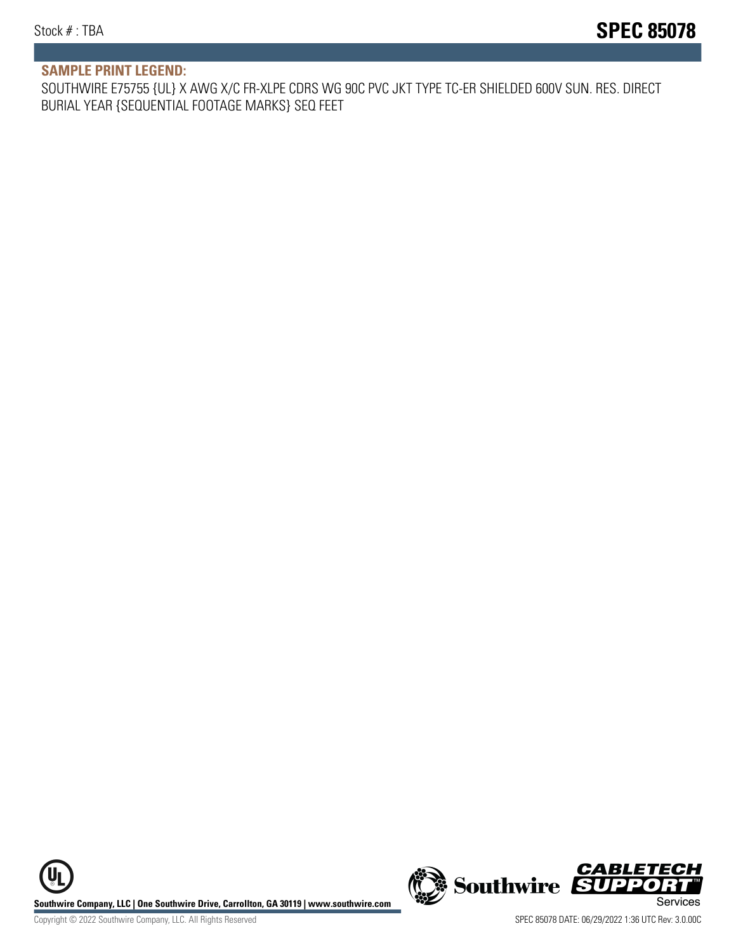#### **SAMPLE PRINT LEGEND:**

SOUTHWIRE E75755 {UL} X AWG X/C FR-XLPE CDRS WG 90C PVC JKT TYPE TC-ER SHIELDED 600V SUN. RES. DIRECT BURIAL YEAR {SEQUENTIAL FOOTAGE MARKS} SEQ FEET

UL **Southwire Company, LLC | One Southwire Drive, Carrollton, GA 30119 | www.southwire.com (New Southwire SUPPORTI**